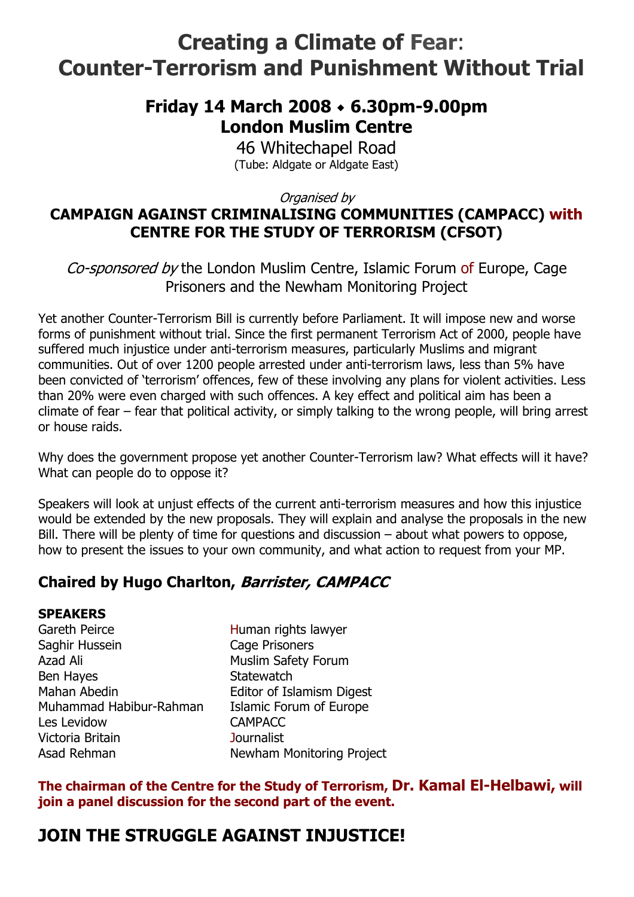# **Creating a Climate of Fear**: **Counter-Terrorism and Punishment Without Trial**

## **Friday 14 March 2008 6.30pm-9.00pm London Muslim Centre**

46 Whitechapel Road (Tube: Aldgate or Aldgate East)

Organised by

### **CAMPAIGN AGAINST CRIMINALISING COMMUNITIES (CAMPACC) with CENTRE FOR THE STUDY OF TERRORISM (CFSOT)**

Co-sponsored by the London Muslim Centre, Islamic Forum of Europe, Cage Prisoners and the Newham Monitoring Project

Yet another Counter-Terrorism Bill is currently before Parliament. It will impose new and worse forms of punishment without trial. Since the first permanent Terrorism Act of 2000, people have suffered much injustice under anti-terrorism measures, particularly Muslims and migrant communities. Out of over 1200 people arrested under anti-terrorism laws, less than 5% have been convicted of 'terrorism' offences, few of these involving any plans for violent activities. Less than 20% were even charged with such offences. A key effect and political aim has been a climate of fear – fear that political activity, or simply talking to the wrong people, will bring arrest or house raids.

Why does the government propose yet another Counter-Terrorism law? What effects will it have? What can people do to oppose it?

Speakers will look at unjust effects of the current anti-terrorism measures and how this injustice would be extended by the new proposals. They will explain and analyse the proposals in the new Bill. There will be plenty of time for questions and discussion – about what powers to oppose, how to present the issues to your own community, and what action to request from your MP.

### **Chaired by Hugo Charlton, Barrister, CAMPACC**

#### **SPEAKERS**

Gareth Peirce **Human rights lawyer** Saghir Hussein Cage Prisoners Azad Ali **Muslim Safety Forum** Ben Hayes **Statewatch** Mahan Abedin **Editor of Islamism Digest** Muhammad Habibur-Rahman Islamic Forum of Europe Les Levidow CAMPACC Victoria Britain Journalist Asad Rehman Newham Monitoring Project

**The chairman of the Centre for the Study of Terrorism, Dr. Kamal El-Helbawi, will join a panel discussion for the second part of the event.** 

# **JOIN THE STRUGGLE AGAINST INJUSTICE!**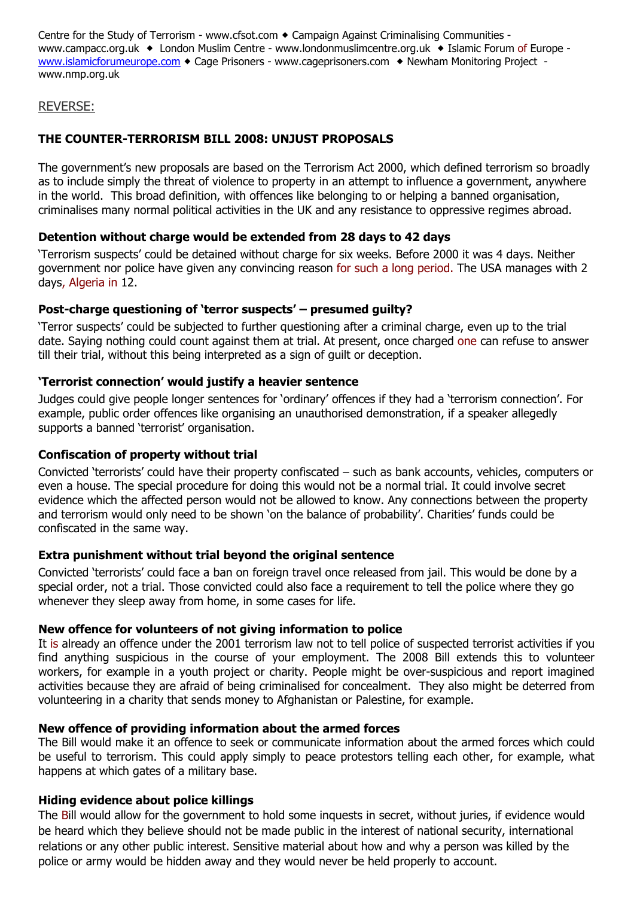Centre for the Study of Terrorism - www.cfsot.com • Campaign Against Criminalising Communities www.campacc.org.uk • London Muslim Centre - www.londonmuslimcentre.org.uk • Islamic Forum of Europe www.islamicforumeurope.com • Cage Prisoners - www.cageprisoners.com • Newham Monitoring Project www.nmp.org.uk

#### REVERSE:

#### **THE COUNTER-TERRORISM BILL 2008: UNJUST PROPOSALS**

The government's new proposals are based on the Terrorism Act 2000, which defined terrorism so broadly as to include simply the threat of violence to property in an attempt to influence a government, anywhere in the world. This broad definition, with offences like belonging to or helping a banned organisation, criminalises many normal political activities in the UK and any resistance to oppressive regimes abroad.

#### **Detention without charge would be extended from 28 days to 42 days**

'Terrorism suspects' could be detained without charge for six weeks. Before 2000 it was 4 days. Neither government nor police have given any convincing reason for such a long period. The USA manages with 2 days, Algeria in 12.

#### **Post-charge questioning of 'terror suspects' – presumed guilty?**

'Terror suspects' could be subjected to further questioning after a criminal charge, even up to the trial date. Saying nothing could count against them at trial. At present, once charged one can refuse to answer till their trial, without this being interpreted as a sign of guilt or deception.

#### **'Terrorist connection' would justify a heavier sentence**

Judges could give people longer sentences for 'ordinary' offences if they had a 'terrorism connection'. For example, public order offences like organising an unauthorised demonstration, if a speaker allegedly supports a banned 'terrorist' organisation.

#### **Confiscation of property without trial**

Convicted 'terrorists' could have their property confiscated – such as bank accounts, vehicles, computers or even a house. The special procedure for doing this would not be a normal trial. It could involve secret evidence which the affected person would not be allowed to know. Any connections between the property and terrorism would only need to be shown 'on the balance of probability'. Charities' funds could be confiscated in the same way.

#### **Extra punishment without trial beyond the original sentence**

Convicted 'terrorists' could face a ban on foreign travel once released from jail. This would be done by a special order, not a trial. Those convicted could also face a requirement to tell the police where they go whenever they sleep away from home, in some cases for life.

#### **New offence for volunteers of not giving information to police**

It is already an offence under the 2001 terrorism law not to tell police of suspected terrorist activities if you find anything suspicious in the course of your employment. The 2008 Bill extends this to volunteer workers, for example in a youth project or charity. People might be over-suspicious and report imagined activities because they are afraid of being criminalised for concealment. They also might be deterred from volunteering in a charity that sends money to Afghanistan or Palestine, for example.

#### **New offence of providing information about the armed forces**

The Bill would make it an offence to seek or communicate information about the armed forces which could be useful to terrorism. This could apply simply to peace protestors telling each other, for example, what happens at which gates of a military base.

#### **Hiding evidence about police killings**

The Bill would allow for the government to hold some inquests in secret, without juries, if evidence would be heard which they believe should not be made public in the interest of national security, international relations or any other public interest. Sensitive material about how and why a person was killed by the police or army would be hidden away and they would never be held properly to account.